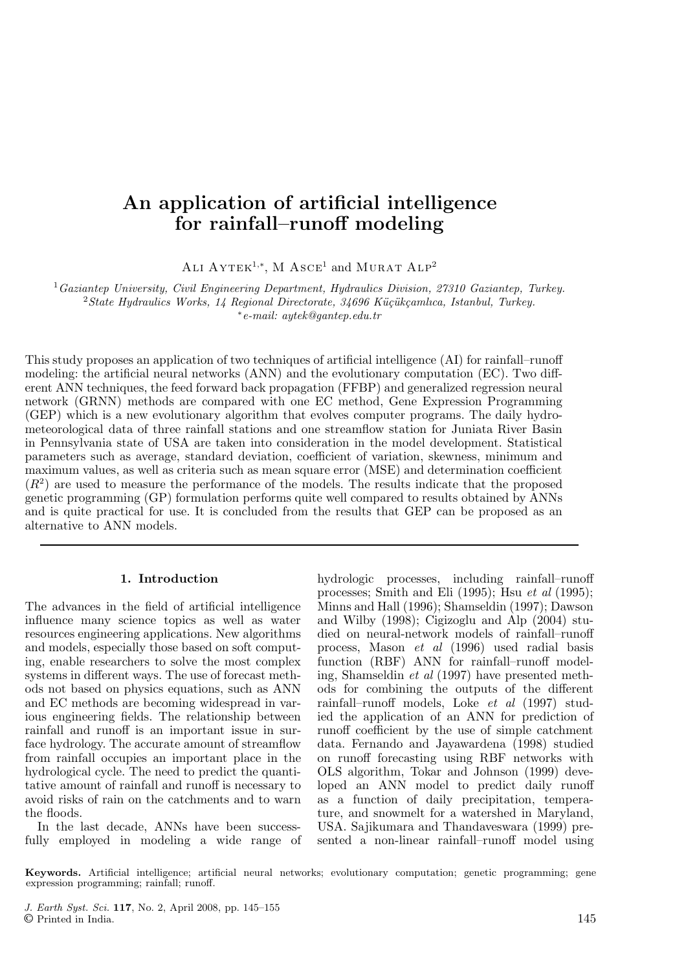# **An application of artificial intelligence for rainfall–runoff modeling**

ALI AYTEK<sup>1,\*</sup>, M ASCE<sup>1</sup> and MURAT ALP<sup>2</sup>

 $1_{\text{Gazian}t}$  University, Civil Engineering Department, Hydraulics Division, 27310 Gaziantep, Turkey.  $2\text{ State Hy}$ draulics Works, 14 Regional Directorate, 34696 Küçükçamlıca, Istanbul, Turkey. ∗e-mail: aytek@gantep.edu.tr

This study proposes an application of two techniques of artificial intelligence (AI) for rainfall–runoff modeling: the artificial neural networks (ANN) and the evolutionary computation (EC). Two different ANN techniques, the feed forward back propagation (FFBP) and generalized regression neural network (GRNN) methods are compared with one EC method, Gene Expression Programming (GEP) which is a new evolutionary algorithm that evolves computer programs. The daily hydrometeorological data of three rainfall stations and one streamflow station for Juniata River Basin in Pennsylvania state of USA are taken into consideration in the model development. Statistical parameters such as average, standard deviation, coefficient of variation, skewness, minimum and maximum values, as well as criteria such as mean square error (MSE) and determination coefficient  $(R<sup>2</sup>)$  are used to measure the performance of the models. The results indicate that the proposed genetic programming (GP) formulation performs quite well compared to results obtained by ANNs and is quite practical for use. It is concluded from the results that GEP can be proposed as an alternative to ANN models.

## **1. Introduction**

The advances in the field of artificial intelligence influence many science topics as well as water resources engineering applications. New algorithms and models, especially those based on soft computing, enable researchers to solve the most complex systems in different ways. The use of forecast methods not based on physics equations, such as ANN and EC methods are becoming widespread in various engineering fields. The relationship between rainfall and runoff is an important issue in surface hydrology. The accurate amount of streamflow from rainfall occupies an important place in the hydrological cycle. The need to predict the quantitative amount of rainfall and runoff is necessary to avoid risks of rain on the catchments and to warn the floods.

In the last decade, ANNs have been successfully employed in modeling a wide range of hydrologic processes, including rainfall–runoff processes; Smith and Eli (1995); Hsu et al (1995); Minns and Hall (1996); Shamseldin (1997); Dawson and Wilby (1998); Cigizoglu and Alp (2004) studied on neural-network models of rainfall–runoff process, Mason et al (1996) used radial basis function (RBF) ANN for rainfall–runoff modeling, Shamseldin et al (1997) have presented methods for combining the outputs of the different rainfall–runoff models, Loke et al (1997) studied the application of an ANN for prediction of runoff coefficient by the use of simple catchment data. Fernando and Jayawardena (1998) studied on runoff forecasting using RBF networks with OLS algorithm, Tokar and Johnson (1999) developed an ANN model to predict daily runoff as a function of daily precipitation, temperature, and snowmelt for a watershed in Maryland, USA. Sajikumara and Thandaveswara (1999) presented a non-linear rainfall–runoff model using

**Keywords.** Artificial intelligence; artificial neural networks; evolutionary computation; genetic programming; gene expression programming; rainfall; runoff.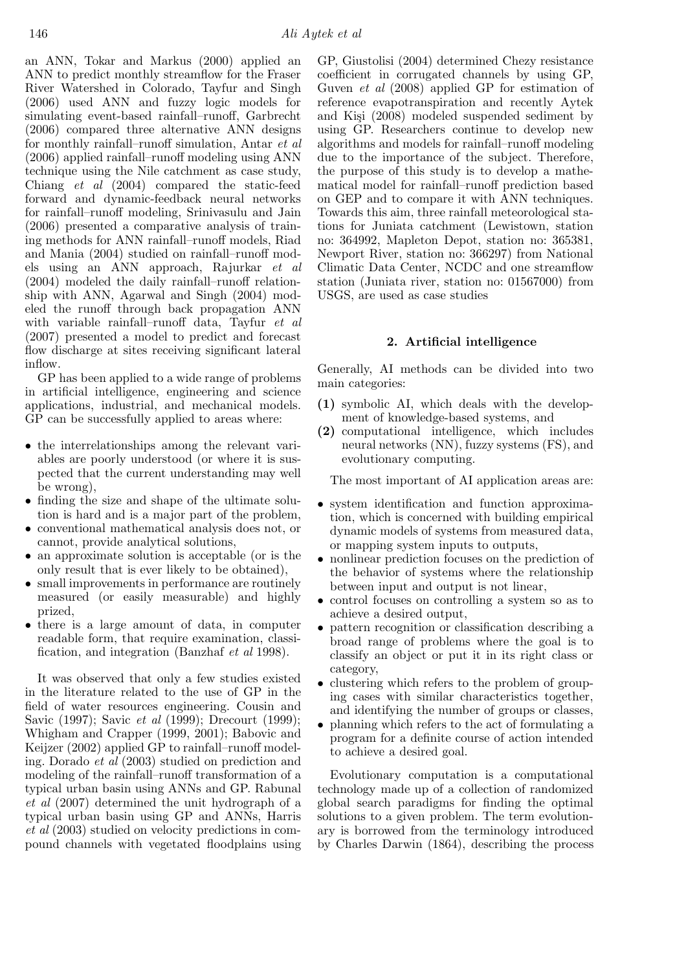an ANN, Tokar and Markus (2000) applied an ANN to predict monthly streamflow for the Fraser River Watershed in Colorado, Tayfur and Singh (2006) used ANN and fuzzy logic models for simulating event-based rainfall–runoff, Garbrecht (2006) compared three alternative ANN designs for monthly rainfall–runoff simulation, Antar et al (2006) applied rainfall–runoff modeling using ANN technique using the Nile catchment as case study, Chiang et al (2004) compared the static-feed forward and dynamic-feedback neural networks for rainfall–runoff modeling, Srinivasulu and Jain (2006) presented a comparative analysis of training methods for ANN rainfall–runoff models, Riad and Mania (2004) studied on rainfall–runoff models using an ANN approach, Rajurkar et al (2004) modeled the daily rainfall–runoff relationship with ANN, Agarwal and Singh (2004) modeled the runoff through back propagation ANN with variable rainfall–runoff data, Tayfur  $et$  al (2007) presented a model to predict and forecast flow discharge at sites receiving significant lateral inflow.

GP has been applied to a wide range of problems in artificial intelligence, engineering and science applications, industrial, and mechanical models. GP can be successfully applied to areas where:

- the interrelationships among the relevant variables are poorly understood (or where it is suspected that the current understanding may well be wrong),
- finding the size and shape of the ultimate solution is hard and is a major part of the problem,
- conventional mathematical analysis does not, or cannot, provide analytical solutions,
- an approximate solution is acceptable (or is the only result that is ever likely to be obtained),
- small improvements in performance are routinely measured (or easily measurable) and highly prized,
- there is a large amount of data, in computer readable form, that require examination, classification, and integration (Banzhaf et al 1998).

It was observed that only a few studies existed in the literature related to the use of GP in the field of water resources engineering. Cousin and Savic (1997); Savic et al (1999); Drecourt (1999); Whigham and Crapper (1999, 2001); Babovic and Keijzer (2002) applied GP to rainfall–runoff modeling. Dorado et al (2003) studied on prediction and modeling of the rainfall–runoff transformation of a typical urban basin using ANNs and GP. Rabunal et al (2007) determined the unit hydrograph of a typical urban basin using GP and ANNs, Harris et al (2003) studied on velocity predictions in compound channels with vegetated floodplains using

GP, Giustolisi (2004) determined Chezy resistance coefficient in corrugated channels by using GP, Guven et al (2008) applied GP for estimation of reference evapotranspiration and recently Aytek and Kişi (2008) modeled suspended sediment by using GP. Researchers continue to develop new algorithms and models for rainfall–runoff modeling due to the importance of the subject. Therefore, the purpose of this study is to develop a mathematical model for rainfall–runoff prediction based on GEP and to compare it with ANN techniques. Towards this aim, three rainfall meteorological stations for Juniata catchment (Lewistown, station no: 364992, Mapleton Depot, station no: 365381, Newport River, station no: 366297) from National Climatic Data Center, NCDC and one streamflow station (Juniata river, station no: 01567000) from USGS, are used as case studies

# **2. Artificial intelligence**

Generally, AI methods can be divided into two main categories:

- **(1)** symbolic AI, which deals with the development of knowledge-based systems, and
- **(2)** computational intelligence, which includes neural networks (NN), fuzzy systems (FS), and evolutionary computing.

The most important of AI application areas are:

- system identification and function approximation, which is concerned with building empirical dynamic models of systems from measured data, or mapping system inputs to outputs,
- nonlinear prediction focuses on the prediction of the behavior of systems where the relationship between input and output is not linear,
- control focuses on controlling a system so as to achieve a desired output,
- pattern recognition or classification describing a broad range of problems where the goal is to classify an object or put it in its right class or category,
- clustering which refers to the problem of grouping cases with similar characteristics together, and identifying the number of groups or classes,
- planning which refers to the act of formulating a program for a definite course of action intended to achieve a desired goal.

Evolutionary computation is a computational technology made up of a collection of randomized global search paradigms for finding the optimal solutions to a given problem. The term evolutionary is borrowed from the terminology introduced by Charles Darwin (1864), describing the process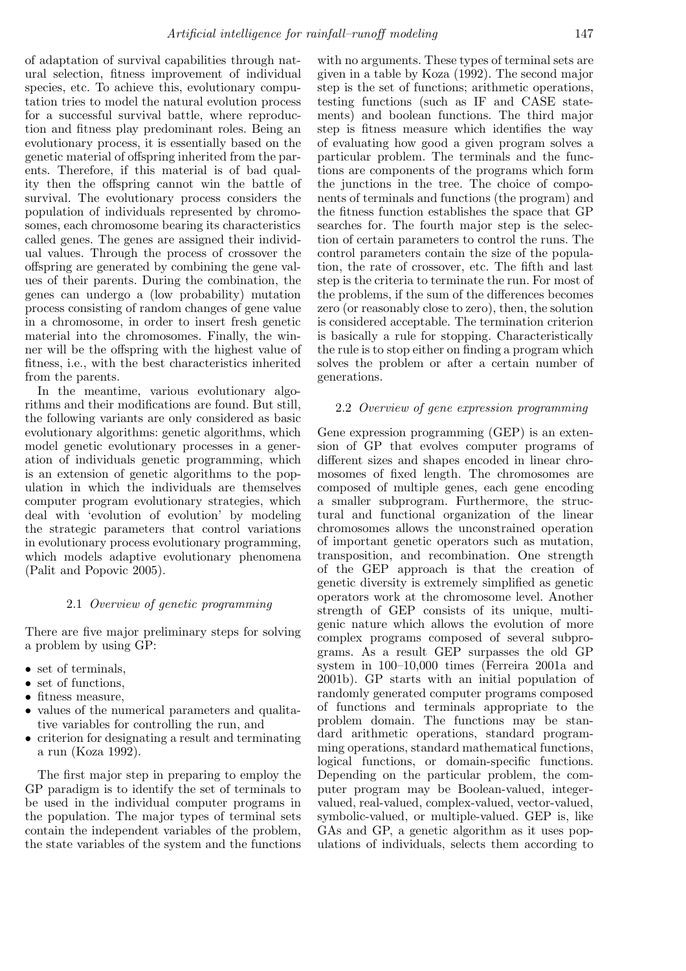of adaptation of survival capabilities through natural selection, fitness improvement of individual species, etc. To achieve this, evolutionary computation tries to model the natural evolution process for a successful survival battle, where reproduction and fitness play predominant roles. Being an evolutionary process, it is essentially based on the genetic material of offspring inherited from the parents. Therefore, if this material is of bad quality then the offspring cannot win the battle of survival. The evolutionary process considers the population of individuals represented by chromosomes, each chromosome bearing its characteristics called genes. The genes are assigned their individual values. Through the process of crossover the offspring are generated by combining the gene values of their parents. During the combination, the genes can undergo a (low probability) mutation process consisting of random changes of gene value in a chromosome, in order to insert fresh genetic material into the chromosomes. Finally, the winner will be the offspring with the highest value of fitness, i.e., with the best characteristics inherited from the parents.

In the meantime, various evolutionary algorithms and their modifications are found. But still, the following variants are only considered as basic evolutionary algorithms: genetic algorithms, which model genetic evolutionary processes in a generation of individuals genetic programming, which is an extension of genetic algorithms to the population in which the individuals are themselves computer program evolutionary strategies, which deal with 'evolution of evolution' by modeling the strategic parameters that control variations in evolutionary process evolutionary programming, which models adaptive evolutionary phenomena (Palit and Popovic 2005).

#### 2.1 Overview of genetic programming

There are five major preliminary steps for solving a problem by using GP:

- set of terminals.
- set of functions,
- fitness measure,
- values of the numerical parameters and qualitative variables for controlling the run, and
- criterion for designating a result and terminating a run (Koza 1992).

The first major step in preparing to employ the GP paradigm is to identify the set of terminals to be used in the individual computer programs in the population. The major types of terminal sets contain the independent variables of the problem, the state variables of the system and the functions

with no arguments. These types of terminal sets are given in a table by Koza (1992). The second major step is the set of functions; arithmetic operations, testing functions (such as IF and CASE statements) and boolean functions. The third major step is fitness measure which identifies the way of evaluating how good a given program solves a particular problem. The terminals and the functions are components of the programs which form the junctions in the tree. The choice of components of terminals and functions (the program) and the fitness function establishes the space that GP searches for. The fourth major step is the selection of certain parameters to control the runs. The control parameters contain the size of the population, the rate of crossover, etc. The fifth and last step is the criteria to terminate the run. For most of the problems, if the sum of the differences becomes zero (or reasonably close to zero), then, the solution is considered acceptable. The termination criterion is basically a rule for stopping. Characteristically the rule is to stop either on finding a program which solves the problem or after a certain number of generations.

#### 2.2 Overview of gene expression programming

Gene expression programming (GEP) is an extension of GP that evolves computer programs of different sizes and shapes encoded in linear chromosomes of fixed length. The chromosomes are composed of multiple genes, each gene encoding a smaller subprogram. Furthermore, the structural and functional organization of the linear chromosomes allows the unconstrained operation of important genetic operators such as mutation, transposition, and recombination. One strength of the GEP approach is that the creation of genetic diversity is extremely simplified as genetic operators work at the chromosome level. Another strength of GEP consists of its unique, multigenic nature which allows the evolution of more complex programs composed of several subprograms. As a result GEP surpasses the old GP system in 100–10,000 times (Ferreira 2001a and 2001b). GP starts with an initial population of randomly generated computer programs composed of functions and terminals appropriate to the problem domain. The functions may be standard arithmetic operations, standard programming operations, standard mathematical functions, logical functions, or domain-specific functions. Depending on the particular problem, the computer program may be Boolean-valued, integervalued, real-valued, complex-valued, vector-valued, symbolic-valued, or multiple-valued. GEP is, like GAs and GP, a genetic algorithm as it uses populations of individuals, selects them according to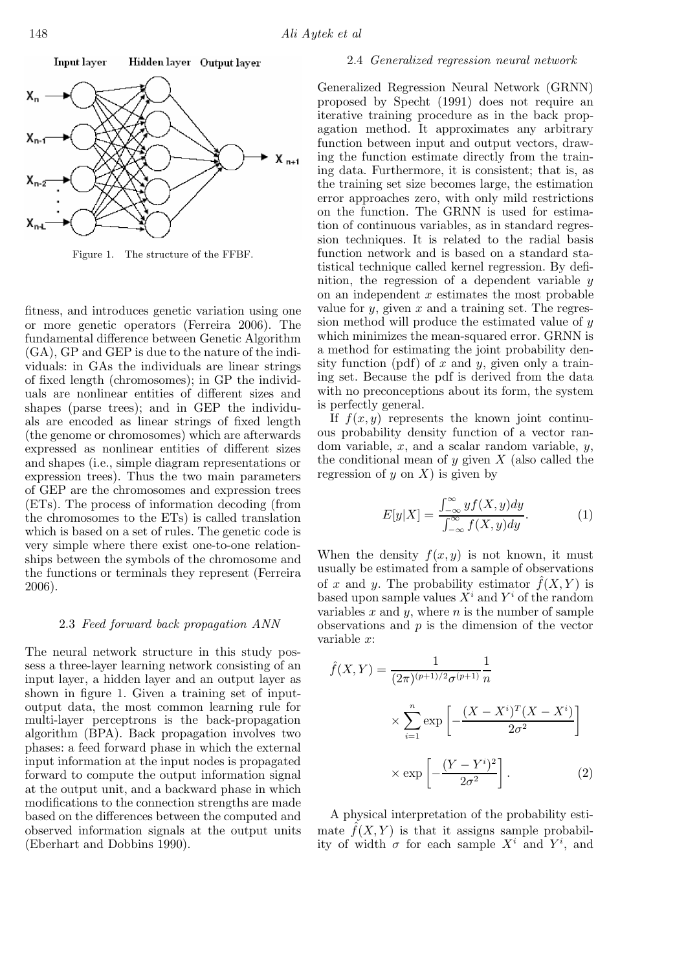

Figure 1. The structure of the FFBF.

fitness, and introduces genetic variation using one or more genetic operators (Ferreira 2006). The fundamental difference between Genetic Algorithm (GA), GP and GEP is due to the nature of the individuals: in GAs the individuals are linear strings of fixed length (chromosomes); in GP the individuals are nonlinear entities of different sizes and shapes (parse trees); and in GEP the individuals are encoded as linear strings of fixed length (the genome or chromosomes) which are afterwards expressed as nonlinear entities of different sizes and shapes (i.e., simple diagram representations or expression trees). Thus the two main parameters of GEP are the chromosomes and expression trees (ETs). The process of information decoding (from the chromosomes to the ETs) is called translation which is based on a set of rules. The genetic code is very simple where there exist one-to-one relationships between the symbols of the chromosome and the functions or terminals they represent (Ferreira 2006).

### 2.3 Feed forward back propagation ANN

The neural network structure in this study possess a three-layer learning network consisting of an input layer, a hidden layer and an output layer as shown in figure 1. Given a training set of inputoutput data, the most common learning rule for multi-layer perceptrons is the back-propagation algorithm (BPA). Back propagation involves two phases: a feed forward phase in which the external input information at the input nodes is propagated forward to compute the output information signal at the output unit, and a backward phase in which modifications to the connection strengths are made based on the differences between the computed and observed information signals at the output units (Eberhart and Dobbins 1990).

# 2.4 Generalized regression neural network

Generalized Regression Neural Network (GRNN) proposed by Specht (1991) does not require an iterative training procedure as in the back propagation method. It approximates any arbitrary function between input and output vectors, drawing the function estimate directly from the training data. Furthermore, it is consistent; that is, as the training set size becomes large, the estimation error approaches zero, with only mild restrictions on the function. The GRNN is used for estimation of continuous variables, as in standard regression techniques. It is related to the radial basis function network and is based on a standard statistical technique called kernel regression. By definition, the regression of a dependent variable  $y$ on an independent  $x$  estimates the most probable value for  $y$ , given  $x$  and a training set. The regression method will produce the estimated value of  $y$ which minimizes the mean-squared error. GRNN is a method for estimating the joint probability density function (pdf) of x and y, given only a training set. Because the pdf is derived from the data with no preconceptions about its form, the system is perfectly general.

If  $f(x, y)$  represents the known joint continuous probability density function of a vector random variable,  $x$ , and a scalar random variable,  $y$ , the conditional mean of  $y$  given  $X$  (also called the regression of  $y$  on  $X$ ) is given by

$$
E[y|X] = \frac{\int_{-\infty}^{\infty} yf(X, y)dy}{\int_{-\infty}^{\infty} f(X, y)dy}.
$$
 (1)

When the density  $f(x, y)$  is not known, it must usually be estimated from a sample of observations of x and y. The probability estimator  $f(X, Y)$  is based upon sample values  $X^i$  and  $Y^i$  of the random variables  $x$  and  $y$ , where  $n$  is the number of sample observations and  $p$  is the dimension of the vector variable x:

$$
\hat{f}(X,Y) = \frac{1}{(2\pi)^{(p+1)/2}\sigma^{(p+1)}}\frac{1}{n}
$$

$$
\times \sum_{i=1}^{n} \exp\left[-\frac{(X-X^i)^T(X-X^i)}{2\sigma^2}\right]
$$

$$
\times \exp\left[-\frac{(Y-Y^i)^2}{2\sigma^2}\right].
$$
 (2)

A physical interpretation of the probability estimate  $\hat{f}(X, Y)$  is that it assigns sample probability of width  $\sigma$  for each sample  $X^i$  and  $Y^i$ , and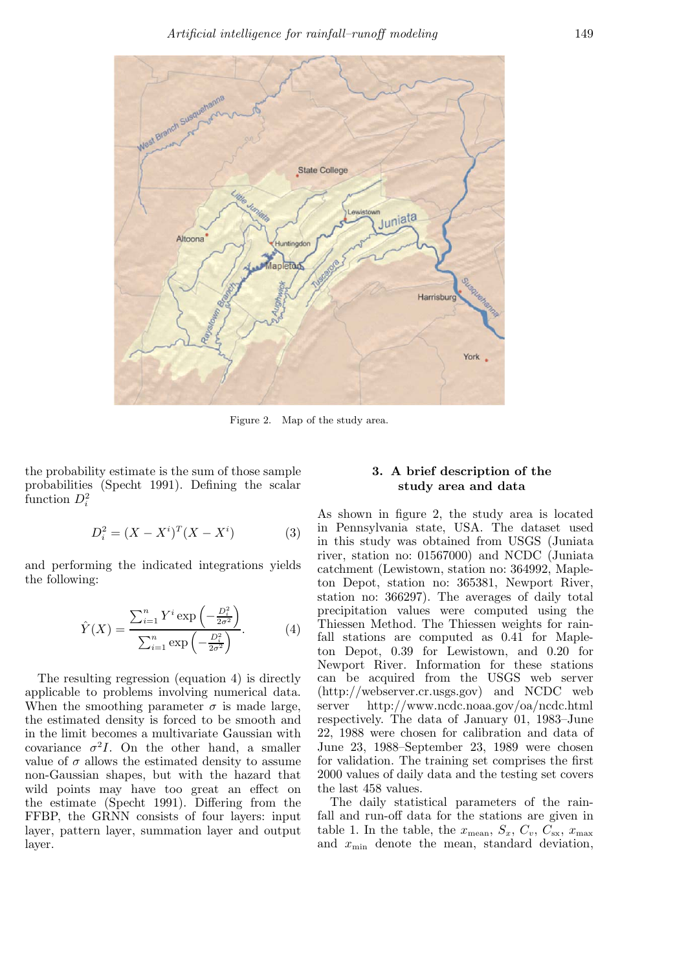

Figure 2. Map of the study area.

the probability estimate is the sum of those sample probabilities (Specht 1991). Defining the scalar function  $D_i^2$ 

$$
D_i^2 = (X - X^i)^T (X - X^i)
$$
 (3)

and performing the indicated integrations yields the following:

$$
\hat{Y}(X) = \frac{\sum_{i=1}^{n} Y^i \exp\left(-\frac{D_i^2}{2\sigma^2}\right)}{\sum_{i=1}^{n} \exp\left(-\frac{D_i^2}{2\sigma^2}\right)}.
$$
\n(4)

The resulting regression (equation 4) is directly applicable to problems involving numerical data. When the smoothing parameter  $\sigma$  is made large, the estimated density is forced to be smooth and in the limit becomes a multivariate Gaussian with covariance  $\sigma^2 I$ . On the other hand, a smaller value of  $\sigma$  allows the estimated density to assume non-Gaussian shapes, but with the hazard that wild points may have too great an effect on the estimate (Specht 1991). Differing from the FFBP, the GRNN consists of four layers: input layer, pattern layer, summation layer and output layer.

# **3. A brief description of the study area and data**

As shown in figure 2, the study area is located in Pennsylvania state, USA. The dataset used in this study was obtained from USGS (Juniata river, station no: 01567000) and NCDC (Juniata catchment (Lewistown, station no: 364992, Mapleton Depot, station no: 365381, Newport River, station no: 366297). The averages of daily total precipitation values were computed using the Thiessen Method. The Thiessen weights for rainfall stations are computed as 0.41 for Mapleton Depot, 0.39 for Lewistown, and 0.20 for Newport River. Information for these stations can be acquired from the USGS web server (http://webserver.cr.usgs.gov) and NCDC web server http://www.ncdc.noaa.gov/oa/ncdc.html respectively. The data of January 01, 1983–June 22, 1988 were chosen for calibration and data of June 23, 1988–September 23, 1989 were chosen for validation. The training set comprises the first 2000 values of daily data and the testing set covers the last 458 values.

The daily statistical parameters of the rainfall and run-off data for the stations are given in table 1. In the table, the  $x_{\text{mean}}$ ,  $S_x$ ,  $C_v$ ,  $C_{\text{sx}}$ ,  $x_{\text{max}}$ and  $x_{\min}$  denote the mean, standard deviation,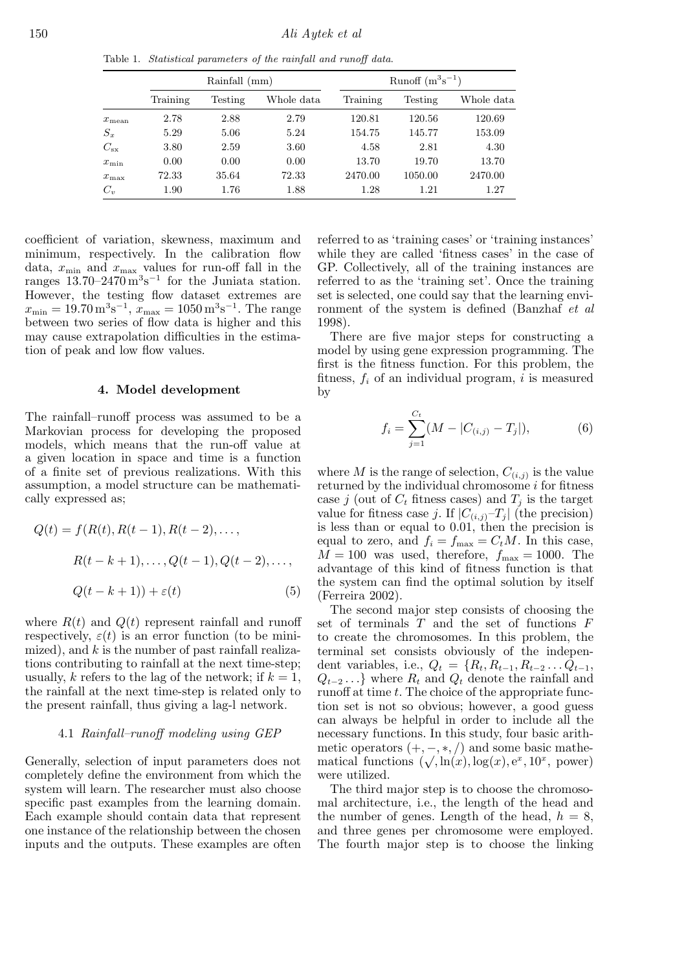Table 1. Statistical parameters of the rainfall and runoff data.

|                   |          | Rainfall (mm) |            | Runoff $(m^3s^{-1})$ |         |            |  |
|-------------------|----------|---------------|------------|----------------------|---------|------------|--|
|                   | Training | Testing       | Whole data | Training             | Testing | Whole data |  |
| $x_{\text{mean}}$ | 2.78     | 2.88          | 2.79       | 120.81               | 120.56  | 120.69     |  |
| $S_x$             | 5.29     | 5.06          | 5.24       | 154.75               | 145.77  | 153.09     |  |
| $C_{\rm sx}$      | 3.80     | 2.59          | 3.60       | 4.58                 | 2.81    | 4.30       |  |
| $x_{\min}$        | 0.00     | 0.00          | 0.00       | 13.70                | 19.70   | 13.70      |  |
| $x_{\text{max}}$  | 72.33    | 35.64         | 72.33      | 2470.00              | 1050.00 | 2470.00    |  |
| $C_v$             | 1.90     | 1.76          | 1.88       | 1.28                 | 1.21    | 1.27       |  |

coefficient of variation, skewness, maximum and minimum, respectively. In the calibration flow data,  $x_{\min}$  and  $x_{\max}$  values for run-off fall in the ranges  $13.70-2470 \,\mathrm{m^3s^{-1}}$  for the Juniata station. However, the testing flow dataset extremes are  $x_{\min} = 19.70 \,\mathrm{m^3 s^{-1}}$ ,  $x_{\max} = 1050 \,\mathrm{m^3 s^{-1}}$ . The range between two series of flow data is higher and this may cause extrapolation difficulties in the estimation of peak and low flow values.

### **4. Model development**

The rainfall–runoff process was assumed to be a Markovian process for developing the proposed models, which means that the run-off value at a given location in space and time is a function of a finite set of previous realizations. With this assumption, a model structure can be mathematically expressed as;

$$
Q(t) = f(R(t), R(t-1), R(t-2), ...,
$$
  
\n
$$
R(t - k + 1), ..., Q(t - 1), Q(t - 2), ...,
$$
  
\n
$$
Q(t - k + 1) + \varepsilon(t)
$$
\n(5)

where  $R(t)$  and  $Q(t)$  represent rainfall and runoff respectively,  $\varepsilon(t)$  is an error function (to be minimized), and  $k$  is the number of past rainfall realizations contributing to rainfall at the next time-step; usually, k refers to the lag of the network; if  $k = 1$ , the rainfall at the next time-step is related only to the present rainfall, thus giving a lag-l network.

#### 4.1 Rainfall–runoff modeling using GEP

Generally, selection of input parameters does not completely define the environment from which the system will learn. The researcher must also choose specific past examples from the learning domain. Each example should contain data that represent one instance of the relationship between the chosen inputs and the outputs. These examples are often

referred to as 'training cases' or 'training instances' while they are called 'fitness cases' in the case of GP. Collectively, all of the training instances are referred to as the 'training set'. Once the training set is selected, one could say that the learning environment of the system is defined (Banzhaf et al 1998).

There are five major steps for constructing a model by using gene expression programming. The first is the fitness function. For this problem, the fitness,  $f_i$  of an individual program, i is measured by

$$
f_i = \sum_{j=1}^{C_t} (M - |C_{(i,j)} - T_j|), \tag{6}
$$

where M is the range of selection,  $C_{(i,j)}$  is the value returned by the individual chromosome  $i$  for fitness case j (out of  $C_t$  fitness cases) and  $T_i$  is the target value for fitness case j. If  $|C_{(i,j)}-T_j|$  (the precision) is less than or equal to 0.01, then the precision is equal to zero, and  $f_i = f_{\text{max}} = C_t M$ . In this case,  $\dot{M} = 100$  was used, therefore,  $\dot{f}_{\text{max}} = 1000$ . The advantage of this kind of fitness function is that the system can find the optimal solution by itself (Ferreira 2002).

The second major step consists of choosing the set of terminals T and the set of functions F to create the chromosomes. In this problem, the terminal set consists obviously of the independent variables, i.e.,  $Q_t = \{R_t, R_{t-1}, R_{t-2} \dots Q_{t-1},$  $Q_{t-2} \ldots$ } where  $R_t$  and  $Q_t$  denote the rainfall and runoff at time  $t$ . The choice of the appropriate function set is not so obvious; however, a good guess can always be helpful in order to include all the necessary functions. In this study, four basic arithmetic operators  $(+, -, *, /)$  and some basic mathematical functions  $(\sqrt{, \ln(x), \log(x), e^x, 10^x, \text{ power}})$ were utilized.

The third major step is to choose the chromosomal architecture, i.e., the length of the head and the number of genes. Length of the head,  $h = 8$ , and three genes per chromosome were employed. The fourth major step is to choose the linking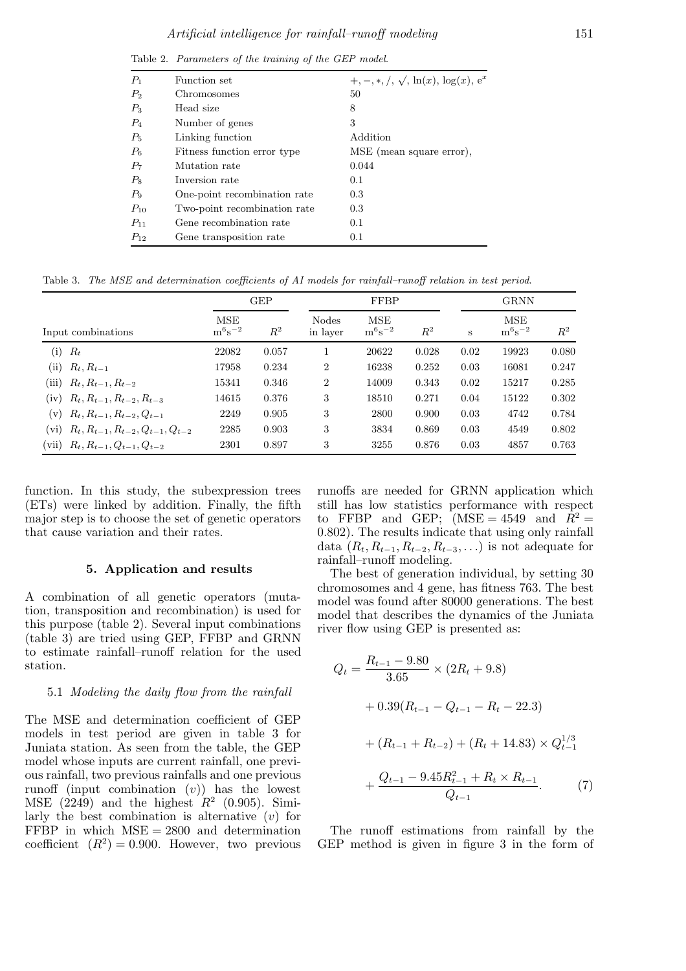| $P_1$          | Function set                 | $+, -, *, /, \sqrt{h(x)}, \log(x), e^x$ |
|----------------|------------------------------|-----------------------------------------|
| P <sub>2</sub> | Chromosomes                  | 50                                      |
| $P_3$          | Head size                    | 8                                       |
| $P_4$          | Number of genes              | 3                                       |
| $P_5$          | Linking function             | Addition                                |
| $P_6$          | Fitness function error type  | MSE (mean square error),                |
| P7             | Mutation rate                | 0.044                                   |
| $P_8$          | Inversion rate               | 0.1                                     |
| $P_9$          | One-point recombination rate | 0.3                                     |
| $P_{10}$       | Two-point recombination rate | 0.3                                     |
| $P_{11}$       | Gene recombination rate      | 0.1                                     |
| $P_{12}$       | Gene transposition rate      | 0.1                                     |
|                |                              |                                         |

Table 2. Parameters of the training of the GEP model.

Table 3. The MSE and determination coefficients of AI models for rainfall–runoff relation in test period.

|                                                    |                               | <b>GEP</b> |                          | <b>FFBP</b>            |       |      | <b>GRNN</b>            |       |
|----------------------------------------------------|-------------------------------|------------|--------------------------|------------------------|-------|------|------------------------|-------|
| Input combinations                                 | <b>MSE</b><br>$\rm m^6s^{-2}$ | $R^2$      | <b>Nodes</b><br>in layer | MSE<br>$\rm m^6s^{-2}$ | $R^2$ | S    | MSE<br>$\rm m^6s^{-2}$ | $R^2$ |
| (i)<br>$R_t$                                       | 22082                         | 0.057      |                          | 20622                  | 0.028 | 0.02 | 19923                  | 0.080 |
| $\rm (ii)$<br>$R_t, R_{t-1}$                       | 17958                         | 0.234      | $\overline{2}$           | 16238                  | 0.252 | 0.03 | 16081                  | 0.247 |
| (iii)<br>$R_t, R_{t-1}, R_{t-2}$                   | 15341                         | 0.346      | $\overline{2}$           | 14009                  | 0.343 | 0.02 | 15217                  | 0.285 |
| $R_t, R_{t-1}, R_{t-2}, R_{t-3}$<br>(iv)           | 14615                         | 0.376      | 3                        | 18510                  | 0.271 | 0.04 | 15122                  | 0.302 |
| $R_t, R_{t-1}, R_{t-2}, Q_{t-1}$<br>$(\mathbf{v})$ | 2249                          | 0.905      | 3                        | 2800                   | 0.900 | 0.03 | 4742                   | 0.784 |
| $R_t, R_{t-1}, R_{t-2}, Q_{t-1}, Q_{t-2}$<br>(vi)  | 2285                          | 0.903      | 3                        | 3834                   | 0.869 | 0.03 | 4549                   | 0.802 |
| (vii)<br>$R_t, R_{t-1}, Q_{t-1}, Q_{t-2}$          | 2301                          | 0.897      | 3                        | 3255                   | 0.876 | 0.03 | 4857                   | 0.763 |

function. In this study, the subexpression trees (ETs) were linked by addition. Finally, the fifth major step is to choose the set of genetic operators that cause variation and their rates.

#### **5. Application and results**

A combination of all genetic operators (mutation, transposition and recombination) is used for this purpose (table 2). Several input combinations (table 3) are tried using GEP, FFBP and GRNN to estimate rainfall–runoff relation for the used station.

# 5.1 Modeling the daily flow from the rainfall

The MSE and determination coefficient of GEP models in test period are given in table 3 for Juniata station. As seen from the table, the GEP model whose inputs are current rainfall, one previous rainfall, two previous rainfalls and one previous runoff (input combination  $(v)$ ) has the lowest MSE  $(2249)$  and the highest  $R^2$  (0.905). Similarly the best combination is alternative  $(v)$  for FFBP in which  $MSE = 2800$  and determination coefficient  $(R^2)=0.900$ . However, two previous runoffs are needed for GRNN application which still has low statistics performance with respect to FFBP and GEP;  $(MSE = 4549$  and  $R^2 =$ 0.802). The results indicate that using only rainfall data  $(R_t, R_{t-1}, R_{t-2}, R_{t-3}, \ldots)$  is not adequate for rainfall–runoff modeling.

The best of generation individual, by setting 30 chromosomes and 4 gene, has fitness 763. The best model was found after 80000 generations. The best model that describes the dynamics of the Juniata river flow using GEP is presented as:

$$
Q_{t} = \frac{R_{t-1} - 9.80}{3.65} \times (2R_{t} + 9.8)
$$
  
+ 0.39(R<sub>t-1</sub> - Q<sub>t-1</sub> - R<sub>t</sub> - 22.3)  
+ (R<sub>t-1</sub> + R<sub>t-2</sub>) + (R<sub>t</sub> + 14.83) × Q<sub>t-1</sub><sup>1/3</sup>  
+ 
$$
\frac{Q_{t-1} - 9.45R_{t-1}^{2} + R_{t} \times R_{t-1}}{Q_{t-1}}.
$$
 (7)

The runoff estimations from rainfall by the GEP method is given in figure 3 in the form of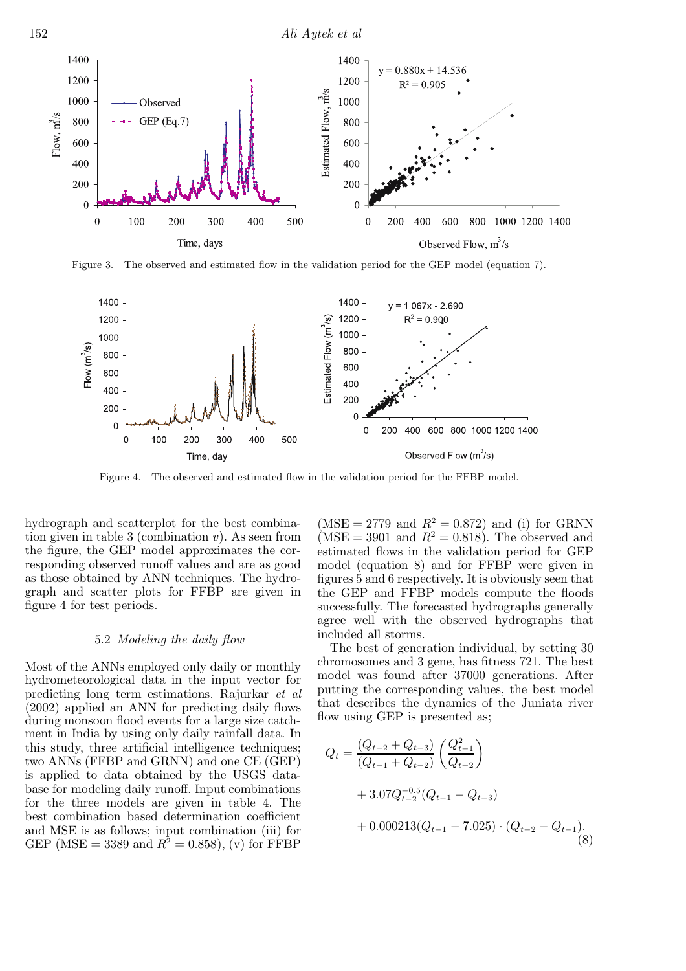152 Ali Aytek et al



Figure 3. The observed and estimated flow in the validation period for the GEP model (equation 7).



Figure 4. The observed and estimated flow in the validation period for the FFBP model.

hydrograph and scatterplot for the best combination given in table 3 (combination  $v$ ). As seen from the figure, the GEP model approximates the corresponding observed runoff values and are as good as those obtained by ANN techniques. The hydrograph and scatter plots for FFBP are given in figure 4 for test periods.

# 5.2 Modeling the daily flow

Most of the ANNs employed only daily or monthly hydrometeorological data in the input vector for predicting long term estimations. Rajurkar et al (2002) applied an ANN for predicting daily flows during monsoon flood events for a large size catchment in India by using only daily rainfall data. In this study, three artificial intelligence techniques; two ANNs (FFBP and GRNN) and one CE (GEP) is applied to data obtained by the USGS database for modeling daily runoff. Input combinations for the three models are given in table 4. The best combination based determination coefficient and MSE is as follows; input combination (iii) for GEP (MSE = 3389 and  $R^2 = 0.858$ ), (v) for FFBP

 $(MSE = 2779$  and  $R^2 = 0.872$  and (i) for GRNN  $(MSE = 3901$  and  $R^2 = 0.818$ ). The observed and estimated flows in the validation period for GEP model (equation 8) and for FFBP were given in figures 5 and 6 respectively. It is obviously seen that the GEP and FFBP models compute the floods successfully. The forecasted hydrographs generally agree well with the observed hydrographs that included all storms.

The best of generation individual, by setting 30 chromosomes and 3 gene, has fitness 721. The best model was found after 37000 generations. After putting the corresponding values, the best model that describes the dynamics of the Juniata river flow using GEP is presented as;

$$
Q_{t} = \frac{(Q_{t-2} + Q_{t-3})}{(Q_{t-1} + Q_{t-2})} \left(\frac{Q_{t-1}^{2}}{Q_{t-2}}\right)
$$
  
+ 3.07Q<sub>t-2</sub><sup>-0.5</sup>(Q<sub>t-1</sub> - Q<sub>t-3</sub>)  
+ 0.000213(Q<sub>t-1</sub> - 7.025) · (Q<sub>t-2</sub> - Q<sub>t-1</sub>). (8)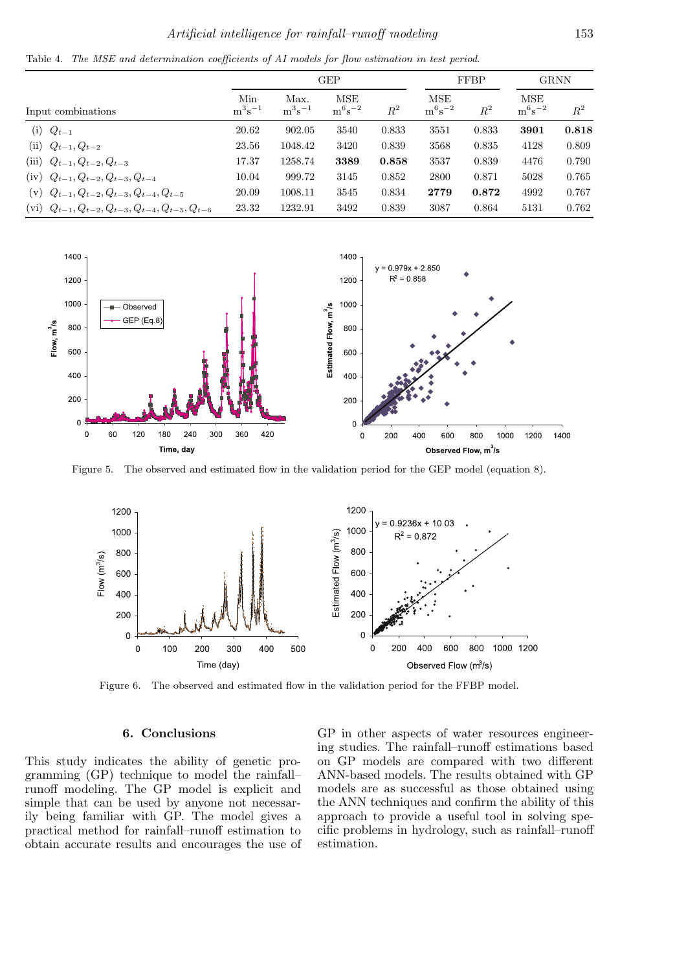Table 4. The MSE and determination coefficients of AI models for flow estimation in test period.

|                                                             | <b>GEP</b>             |                         |                               |       | <b>FFBP</b>                   |       | GRNN                   |       |
|-------------------------------------------------------------|------------------------|-------------------------|-------------------------------|-------|-------------------------------|-------|------------------------|-------|
| Input combinations                                          | Min<br>$\rm m^3s^{-1}$ | Max.<br>$\rm m^3s^{-1}$ | <b>MSE</b><br>$\rm m^6s^{-2}$ | $R^2$ | <b>MSE</b><br>$\rm m^6s^{-2}$ | $R^2$ | MSE<br>$\rm m^6s^{-2}$ | $R^2$ |
| $(i)$ $Q_{t-1}$                                             | 20.62                  | 902.05                  | 3540                          | 0.833 | 3551                          | 0.833 | 3901                   | 0.818 |
| (ii)<br>$Q_{t-1}, Q_{t-2}$                                  | 23.56                  | 1048.42                 | 3420                          | 0.839 | 3568                          | 0.835 | 4128                   | 0.809 |
| $Q_{t-1}, Q_{t-2}, Q_{t-3}$<br>(iii)                        | 17.37                  | 1258.74                 | 3389                          | 0.858 | 3537                          | 0.839 | 4476                   | 0.790 |
| $Q_{t-1}, Q_{t-2}, Q_{t-3}, Q_{t-4}$<br>(iv)                | 10.04                  | 999.72                  | 3145                          | 0.852 | 2800                          | 0.871 | 5028                   | 0.765 |
| (v) $Q_{t-1}, Q_{t-2}, Q_{t-3}, Q_{t-4}, Q_{t-5}$           | 20.09                  | 1008.11                 | 3545                          | 0.834 | 2779                          | 0.872 | 4992                   | 0.767 |
| (vi) $Q_{t-1}, Q_{t-2}, Q_{t-3}, Q_{t-4}, Q_{t-5}, Q_{t-6}$ | 23.32                  | 1232.91                 | 3492                          | 0.839 | 3087                          | 0.864 | 5131                   | 0.762 |



Figure 5. The observed and estimated flow in the validation period for the GEP model (equation 8).



Figure 6. The observed and estimated flow in the validation period for the FFBP model.

### **6. Conclusions**

This study indicates the ability of genetic programming (GP) technique to model the rainfall– runoff modeling. The GP model is explicit and simple that can be used by anyone not necessarily being familiar with GP. The model gives a practical method for rainfall–runoff estimation to obtain accurate results and encourages the use of

GP in other aspects of water resources engineering studies. The rainfall–runoff estimations based on GP models are compared with two different ANN-based models. The results obtained with GP models are as successful as those obtained using the ANN techniques and confirm the ability of this approach to provide a useful tool in solving specific problems in hydrology, such as rainfall–runoff estimation.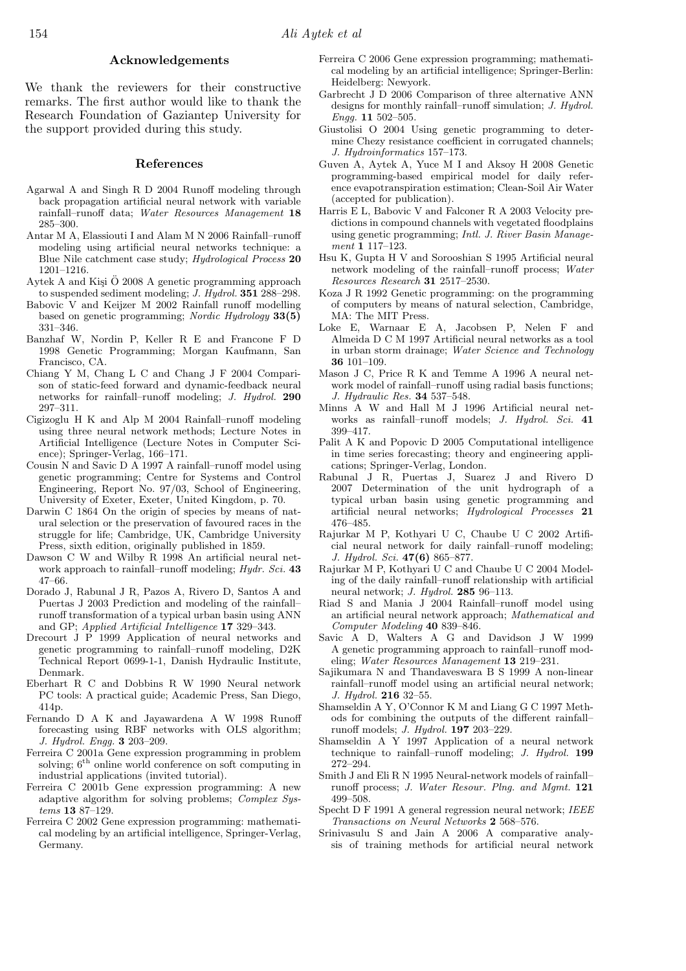## **Acknowledgements**

We thank the reviewers for their constructive remarks. The first author would like to thank the Research Foundation of Gaziantep University for the support provided during this study.

#### **References**

- Agarwal A and Singh R D 2004 Runoff modeling through back propagation artificial neural network with variable rainfall–runoff data; Water Resources Management **18** 285–300.
- Antar M A, Elassiouti I and Alam M N 2006 Rainfall–runoff modeling using artificial neural networks technique: a Blue Nile catchment case study; Hydrological Process **20** 1201–1216.
- Aytek A and Kişi  $\ddot{\mathrm{O}}$  2008 A genetic programming approach to suspended sediment modeling; J. Hydrol. **351** 288–298.
- Babovic V and Keijzer M 2002 Rainfall runoff modelling based on genetic programming; Nordic Hydrology **33(5)** 331–346.
- Banzhaf W, Nordin P, Keller R E and Francone F D 1998 Genetic Programming; Morgan Kaufmann, San Francisco, CA.
- Chiang Y M, Chang L C and Chang J F 2004 Comparison of static-feed forward and dynamic-feedback neural networks for rainfall–runoff modeling; J. Hydrol. **290** 297–311.
- Cigizoglu H K and Alp M 2004 Rainfall–runoff modeling using three neural network methods; Lecture Notes in Artificial Intelligence (Lecture Notes in Computer Science); Springer-Verlag, 166–171.
- Cousin N and Savic D A 1997 A rainfall–runoff model using genetic programming; Centre for Systems and Control Engineering, Report No. 97/03, School of Engineering, University of Exeter, Exeter, United Kingdom, p. 70.
- Darwin C 1864 On the origin of species by means of natural selection or the preservation of favoured races in the struggle for life; Cambridge, UK, Cambridge University Press, sixth edition, originally published in 1859.
- Dawson C W and Wilby R 1998 An artificial neural network approach to rainfall–runoff modeling; Hydr. Sci. **43** 47–66.
- Dorado J, Rabunal J R, Pazos A, Rivero D, Santos A and Puertas J 2003 Prediction and modeling of the rainfall– runoff transformation of a typical urban basin using ANN and GP; Applied Artificial Intelligence **17** 329–343.
- Drecourt J P 1999 Application of neural networks and genetic programming to rainfall–runoff modeling, D2K Technical Report 0699-1-1, Danish Hydraulic Institute, Denmark.
- Eberhart R C and Dobbins R W 1990 Neural network PC tools: A practical guide; Academic Press, San Diego, 414p.
- Fernando D A K and Jayawardena A W 1998 Runoff forecasting using RBF networks with OLS algorithm; J. Hydrol. Engg. **3** 203–209.
- Ferreira C 2001a Gene expression programming in problem solving;  $6<sup>th</sup>$  online world conference on soft computing in industrial applications (invited tutorial).
- Ferreira C 2001b Gene expression programming: A new adaptive algorithm for solving problems; Complex Systems **13** 87–129.
- Ferreira C 2002 Gene expression programming: mathematical modeling by an artificial intelligence, Springer-Verlag, Germany.
- Ferreira C 2006 Gene expression programming; mathematical modeling by an artificial intelligence; Springer-Berlin: Heidelberg: Newyork.
- Garbrecht J D 2006 Comparison of three alternative ANN designs for monthly rainfall–runoff simulation; J. Hydrol. Engg. **11** 502–505.
- Giustolisi O 2004 Using genetic programming to determine Chezy resistance coefficient in corrugated channels; J. Hydroinformatics 157–173.
- Guven A, Aytek A, Yuce M I and Aksoy H 2008 Genetic programming-based empirical model for daily reference evapotranspiration estimation; Clean-Soil Air Water (accepted for publication).
- Harris E L, Babovic V and Falconer R A 2003 Velocity predictions in compound channels with vegetated floodplains using genetic programming; Intl. J. River Basin Management **1** 117–123.
- Hsu K, Gupta H V and Sorooshian S 1995 Artificial neural network modeling of the rainfall–runoff process; Water Resources Research **31** 2517–2530.
- Koza J R 1992 Genetic programming: on the programming of computers by means of natural selection, Cambridge, MA: The MIT Press.
- Loke E, Warnaar E A, Jacobsen P, Nelen F and Almeida D C M 1997 Artificial neural networks as a tool in urban storm drainage; Water Science and Technology **36** 101–109.
- Mason J C, Price R K and Temme A 1996 A neural network model of rainfall–runoff using radial basis functions; J. Hydraulic Res. **34** 537–548.
- Minns A W and Hall M J 1996 Artificial neural networks as rainfall–runoff models; J. Hydrol. Sci. **41** 399–417.
- Palit A K and Popovic D 2005 Computational intelligence in time series forecasting; theory and engineering applications; Springer-Verlag, London.
- Rabunal J R, Puertas J, Suarez J and Rivero D 2007 Determination of the unit hydrograph of a typical urban basin using genetic programming and artificial neural networks; Hydrological Processes **21** 476–485.
- Rajurkar M P, Kothyari U C, Chaube U C 2002 Artificial neural network for daily rainfall–runoff modeling; J. Hydrol. Sci. **47(6)** 865–877.
- Rajurkar M P, Kothyari U C and Chaube U C 2004 Modeling of the daily rainfall–runoff relationship with artificial neural network; J. Hydrol. **285** 96–113.
- Riad S and Mania J 2004 Rainfall–runoff model using an artificial neural network approach; Mathematical and Computer Modeling **40** 839–846.
- Savic A D, Walters A G and Davidson J W 1999 A genetic programming approach to rainfall–runoff modeling; Water Resources Management **13** 219–231.
- Sajikumara N and Thandaveswara B S 1999 A non-linear rainfall–runoff model using an artificial neural network; J. Hydrol. **216** 32–55.
- Shamseldin A Y, O'Connor K M and Liang G C 1997 Methods for combining the outputs of the different rainfall– runoff models; J. Hydrol. **197** 203–229.
- Shamseldin A Y 1997 Application of a neural network technique to rainfall–runoff modeling; J. Hydrol. **199** 272–294.
- Smith J and Eli R N 1995 Neural-network models of rainfall– runoff process; J. Water Resour. Plng. and Mgmt. **121** 499–508.
- Specht D F 1991 A general regression neural network; IEEE Transactions on Neural Networks **2** 568–576.
- Srinivasulu S and Jain A 2006 A comparative analysis of training methods for artificial neural network